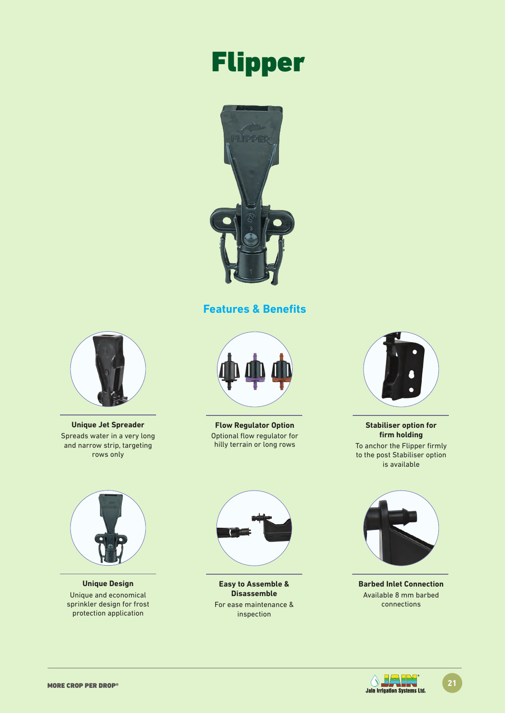# Flipper



### **Features & Benefits**



**Unique Jet Spreader** Spreads water in a very long and narrow strip, targeting rows only



**Flow Regulator Option** Optional flow regulator for hilly terrain or long rows



**Stabiliser option for firm holding**

To anchor the Flipper firmly to the post Stabiliser option is available



**Unique Design** Unique and economical sprinkler design for frost protection application



**Easy to Assemble & Disassemble** For ease maintenance & inspection



**Barbed Inlet Connection** Available 8 mm barbed connections